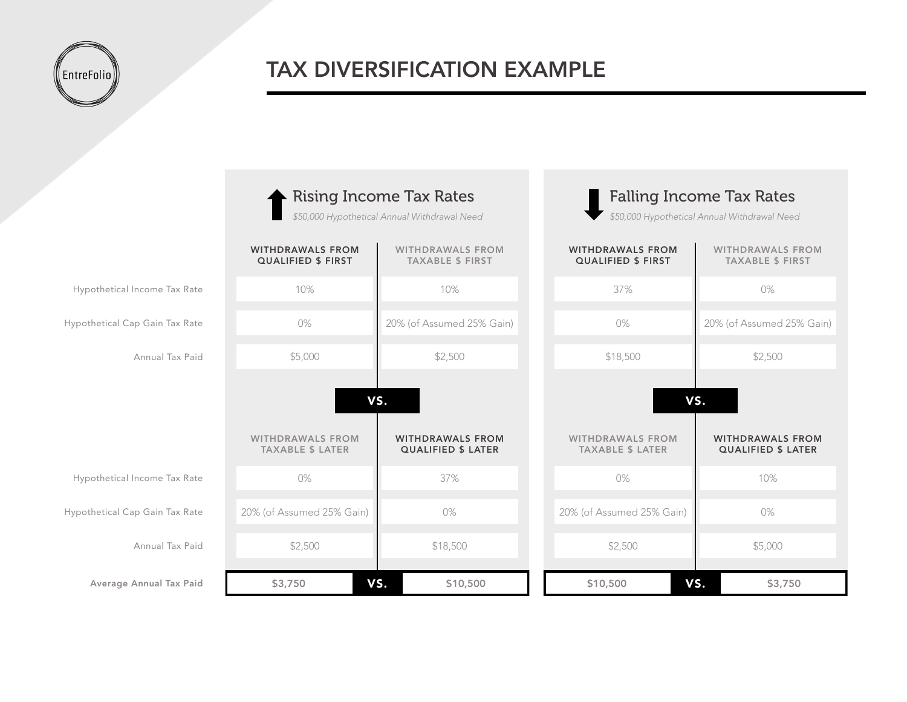

## TAX DIVERSIFICATION EXAMPLE